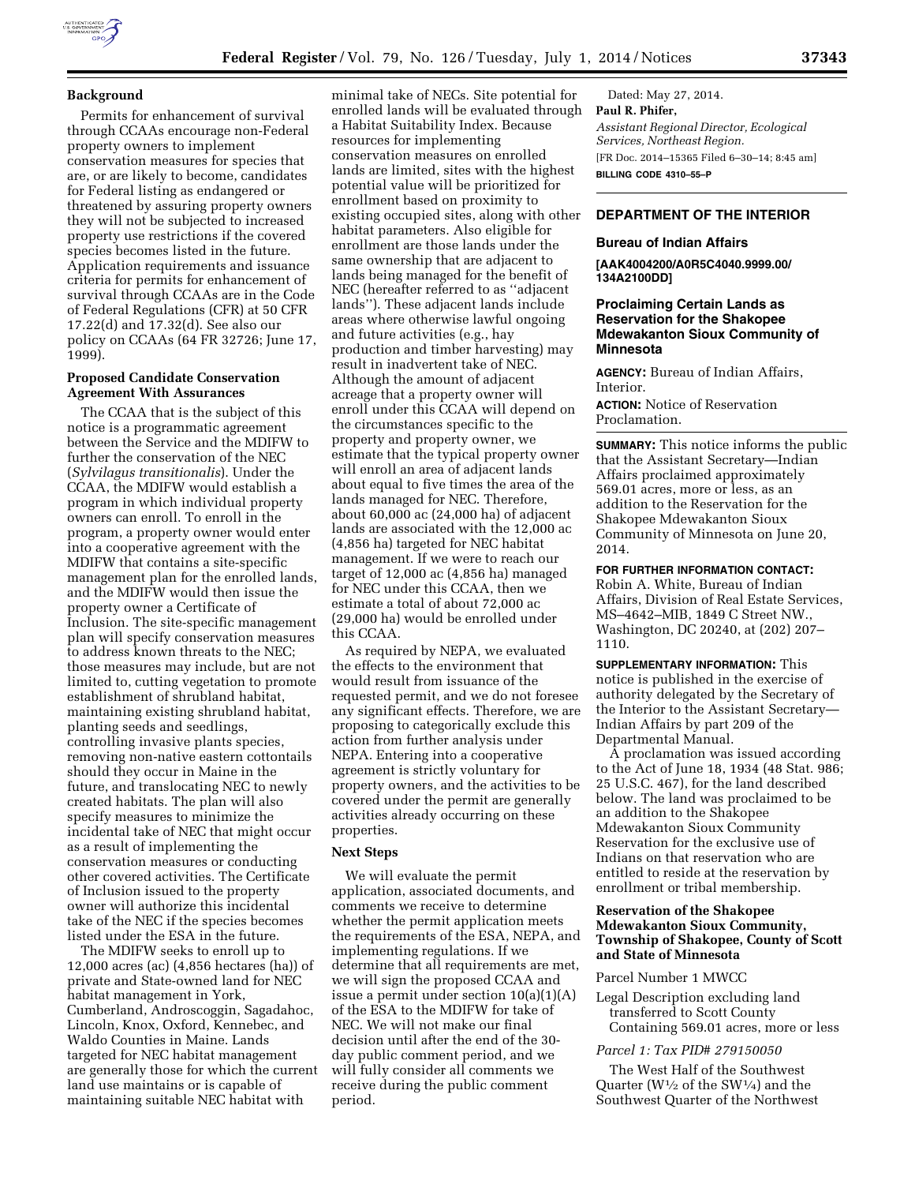# **Background**

Permits for enhancement of survival through CCAAs encourage non-Federal property owners to implement conservation measures for species that are, or are likely to become, candidates for Federal listing as endangered or threatened by assuring property owners they will not be subjected to increased property use restrictions if the covered species becomes listed in the future. Application requirements and issuance criteria for permits for enhancement of survival through CCAAs are in the Code of Federal Regulations (CFR) at 50 CFR 17.22(d) and 17.32(d). See also our policy on CCAAs (64 FR 32726; June 17, 1999).

#### **Proposed Candidate Conservation Agreement With Assurances**

The CCAA that is the subject of this notice is a programmatic agreement between the Service and the MDIFW to further the conservation of the NEC (*Sylvilagus transitionalis*). Under the CCAA, the MDIFW would establish a program in which individual property owners can enroll. To enroll in the program, a property owner would enter into a cooperative agreement with the MDIFW that contains a site-specific management plan for the enrolled lands, and the MDIFW would then issue the property owner a Certificate of Inclusion. The site-specific management plan will specify conservation measures to address known threats to the NEC; those measures may include, but are not limited to, cutting vegetation to promote establishment of shrubland habitat, maintaining existing shrubland habitat, planting seeds and seedlings, controlling invasive plants species, removing non-native eastern cottontails should they occur in Maine in the future, and translocating NEC to newly created habitats. The plan will also specify measures to minimize the incidental take of NEC that might occur as a result of implementing the conservation measures or conducting other covered activities. The Certificate of Inclusion issued to the property owner will authorize this incidental take of the NEC if the species becomes listed under the ESA in the future.

The MDIFW seeks to enroll up to 12,000 acres (ac) (4,856 hectares (ha)) of private and State-owned land for NEC habitat management in York, Cumberland, Androscoggin, Sagadahoc, Lincoln, Knox, Oxford, Kennebec, and Waldo Counties in Maine. Lands targeted for NEC habitat management are generally those for which the current land use maintains or is capable of maintaining suitable NEC habitat with

minimal take of NECs. Site potential for enrolled lands will be evaluated through a Habitat Suitability Index. Because resources for implementing conservation measures on enrolled lands are limited, sites with the highest potential value will be prioritized for enrollment based on proximity to existing occupied sites, along with other habitat parameters. Also eligible for enrollment are those lands under the same ownership that are adjacent to lands being managed for the benefit of NEC (hereafter referred to as ''adjacent lands''). These adjacent lands include areas where otherwise lawful ongoing and future activities (e.g., hay production and timber harvesting) may result in inadvertent take of NEC. Although the amount of adjacent acreage that a property owner will enroll under this CCAA will depend on the circumstances specific to the property and property owner, we estimate that the typical property owner will enroll an area of adjacent lands about equal to five times the area of the lands managed for NEC. Therefore, about 60,000 ac (24,000 ha) of adjacent lands are associated with the 12,000 ac (4,856 ha) targeted for NEC habitat management. If we were to reach our target of 12,000 ac (4,856 ha) managed for NEC under this CCAA, then we estimate a total of about 72,000 ac (29,000 ha) would be enrolled under this CCAA.

As required by NEPA, we evaluated the effects to the environment that would result from issuance of the requested permit, and we do not foresee any significant effects. Therefore, we are proposing to categorically exclude this action from further analysis under NEPA. Entering into a cooperative agreement is strictly voluntary for property owners, and the activities to be covered under the permit are generally activities already occurring on these properties.

### **Next Steps**

We will evaluate the permit application, associated documents, and comments we receive to determine whether the permit application meets the requirements of the ESA, NEPA, and implementing regulations. If we determine that all requirements are met, we will sign the proposed CCAA and issue a permit under section 10(a)(1)(A) of the ESA to the MDIFW for take of NEC. We will not make our final decision until after the end of the 30 day public comment period, and we will fully consider all comments we receive during the public comment period.

Dated: May 27, 2014. **Paul R. Phifer,**  *Assistant Regional Director, Ecological Services, Northeast Region.*  [FR Doc. 2014–15365 Filed 6–30–14; 8:45 am] **BILLING CODE 4310–55–P** 

# **DEPARTMENT OF THE INTERIOR**

#### **Bureau of Indian Affairs**

**[AAK4004200/A0R5C4040.9999.00/ 134A2100DD]** 

# **Proclaiming Certain Lands as Reservation for the Shakopee Mdewakanton Sioux Community of Minnesota**

**AGENCY:** Bureau of Indian Affairs, Interior.

**ACTION:** Notice of Reservation Proclamation.

**SUMMARY:** This notice informs the public that the Assistant Secretary—Indian Affairs proclaimed approximately 569.01 acres, more or less, as an addition to the Reservation for the Shakopee Mdewakanton Sioux Community of Minnesota on June 20, 2014.

**FOR FURTHER INFORMATION CONTACT:** 

Robin A. White, Bureau of Indian Affairs, Division of Real Estate Services, MS–4642–MIB, 1849 C Street NW., Washington, DC 20240, at (202) 207– 1110.

**SUPPLEMENTARY INFORMATION:** This notice is published in the exercise of authority delegated by the Secretary of the Interior to the Assistant Secretary— Indian Affairs by part 209 of the Departmental Manual.

A proclamation was issued according to the Act of June 18, 1934 (48 Stat. 986; 25 U.S.C. 467), for the land described below. The land was proclaimed to be an addition to the Shakopee Mdewakanton Sioux Community Reservation for the exclusive use of Indians on that reservation who are entitled to reside at the reservation by enrollment or tribal membership.

# **Reservation of the Shakopee Mdewakanton Sioux Community, Township of Shakopee, County of Scott and State of Minnesota**

#### Parcel Number 1 MWCC

Legal Description excluding land transferred to Scott County Containing 569.01 acres, more or less

# *Parcel 1: Tax PID# 279150050*

The West Half of the Southwest Quarter ( $W<sup>1</sup>/2$  of the SW<sup>1</sup>/4) and the Southwest Quarter of the Northwest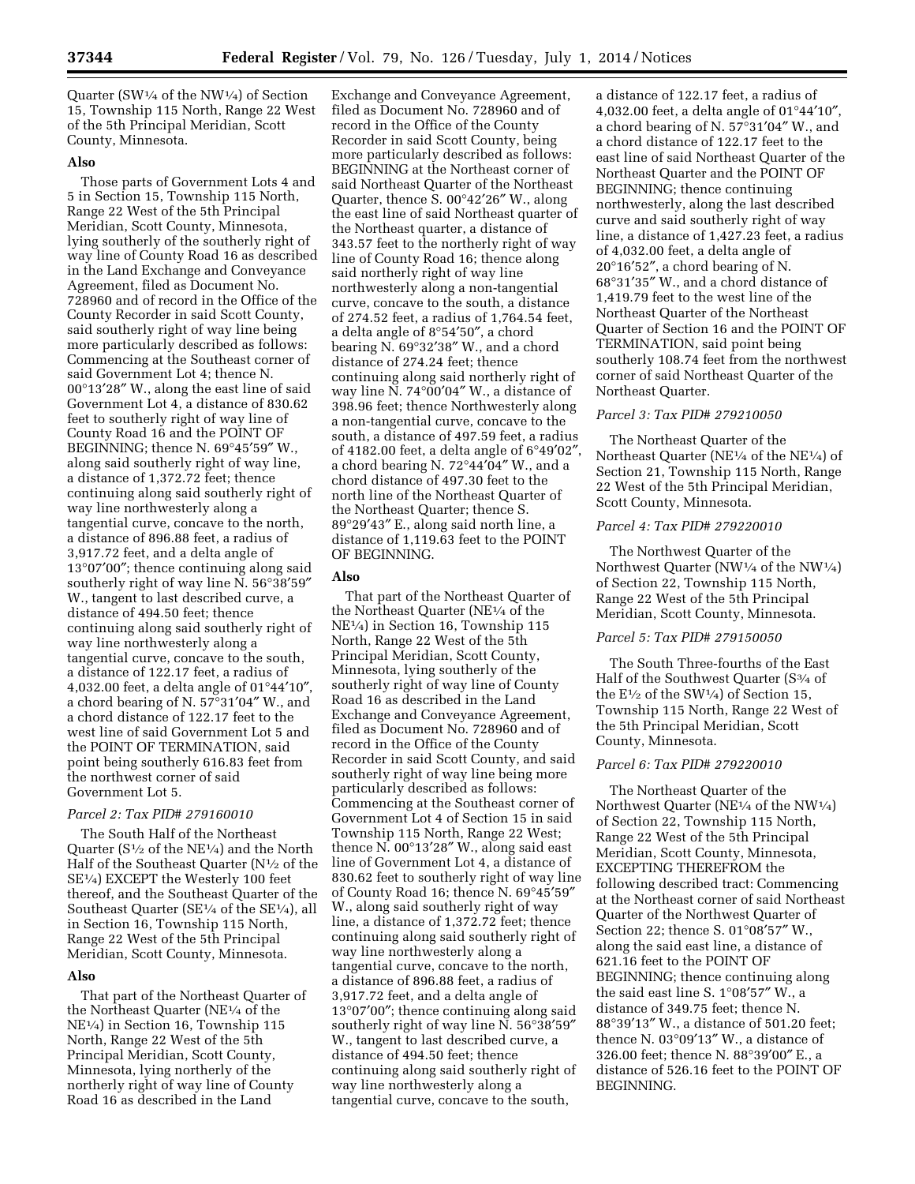Quarter (SW $\frac{1}{4}$  of the NW $\frac{1}{4}$ ) of Section 15, Township 115 North, Range 22 West of the 5th Principal Meridian, Scott County, Minnesota.

# **Also**

Those parts of Government Lots 4 and 5 in Section 15, Township 115 North, Range 22 West of the 5th Principal Meridian, Scott County, Minnesota, lying southerly of the southerly right of way line of County Road 16 as described in the Land Exchange and Conveyance Agreement, filed as Document No. 728960 and of record in the Office of the County Recorder in said Scott County, said southerly right of way line being more particularly described as follows: Commencing at the Southeast corner of said Government Lot 4; thence N. 00°13′28″ W., along the east line of said Government Lot 4, a distance of 830.62 feet to southerly right of way line of County Road 16 and the POINT OF BEGINNING; thence N. 69°45′59″ W., along said southerly right of way line, a distance of 1,372.72 feet; thence continuing along said southerly right of way line northwesterly along a tangential curve, concave to the north, a distance of 896.88 feet, a radius of 3,917.72 feet, and a delta angle of 13°07′00″; thence continuing along said southerly right of way line N. 56°38′59″ W., tangent to last described curve, a distance of 494.50 feet; thence continuing along said southerly right of way line northwesterly along a tangential curve, concave to the south, a distance of 122.17 feet, a radius of 4,032.00 feet, a delta angle of 01°44′10″, a chord bearing of N. 57°31′04″ W., and a chord distance of 122.17 feet to the west line of said Government Lot 5 and the POINT OF TERMINATION, said point being southerly 616.83 feet from the northwest corner of said Government Lot 5.

# *Parcel 2: Tax PID# 279160010*

The South Half of the Northeast Quarter ( $S^{1/2}$  of the NE<sup>1</sup>/<sub>4</sub>) and the North Half of the Southeast Quarter (N1⁄2 of the SE1⁄4) EXCEPT the Westerly 100 feet thereof, and the Southeast Quarter of the Southeast Quarter (SE<sup>1/4</sup> of the SE<sup>1/4</sup>), all in Section 16, Township 115 North, Range 22 West of the 5th Principal Meridian, Scott County, Minnesota.

# **Also**

That part of the Northeast Quarter of the Northeast Quarter (NE1⁄4 of the NE1⁄4) in Section 16, Township 115 North, Range 22 West of the 5th Principal Meridian, Scott County, Minnesota, lying northerly of the northerly right of way line of County Road 16 as described in the Land

Exchange and Conveyance Agreement, filed as Document No. 728960 and of record in the Office of the County Recorder in said Scott County, being more particularly described as follows: BEGINNING at the Northeast corner of said Northeast Quarter of the Northeast Quarter, thence S. 00°42′26″ W., along the east line of said Northeast quarter of the Northeast quarter, a distance of 343.57 feet to the northerly right of way line of County Road 16; thence along said northerly right of way line northwesterly along a non-tangential curve, concave to the south, a distance of 274.52 feet, a radius of 1,764.54 feet, a delta angle of 8°54′50″, a chord bearing N. 69°32′38″ W., and a chord distance of 274.24 feet; thence continuing along said northerly right of way line N. 74°00′04″ W., a distance of 398.96 feet; thence Northwesterly along a non-tangential curve, concave to the south, a distance of 497.59 feet, a radius of 4182.00 feet, a delta angle of 6°49′02″, a chord bearing N. 72°44′04″ W., and a chord distance of 497.30 feet to the north line of the Northeast Quarter of the Northeast Quarter; thence S. 89°29′43″ E., along said north line, a distance of 1,119.63 feet to the POINT OF BEGINNING.

# **Also**

That part of the Northeast Quarter of the Northeast Quarter (NE1⁄4 of the NE1⁄4) in Section 16, Township 115 North, Range 22 West of the 5th Principal Meridian, Scott County, Minnesota, lying southerly of the southerly right of way line of County Road 16 as described in the Land Exchange and Conveyance Agreement, filed as Document No. 728960 and of record in the Office of the County Recorder in said Scott County, and said southerly right of way line being more particularly described as follows: Commencing at the Southeast corner of Government Lot 4 of Section 15 in said Township 115 North, Range 22 West; thence N. 00°13′28″ W., along said east line of Government Lot 4, a distance of 830.62 feet to southerly right of way line of County Road 16; thence N. 69°45′59″ W., along said southerly right of way line, a distance of 1,372.72 feet; thence continuing along said southerly right of way line northwesterly along a tangential curve, concave to the north, a distance of 896.88 feet, a radius of 3,917.72 feet, and a delta angle of 13°07′00″; thence continuing along said southerly right of way line N. 56°38′59" W., tangent to last described curve, a distance of 494.50 feet; thence continuing along said southerly right of way line northwesterly along a tangential curve, concave to the south,

a distance of 122.17 feet, a radius of 4,032.00 feet, a delta angle of 01°44′10″, a chord bearing of N. 57°31′04″ W., and a chord distance of 122.17 feet to the east line of said Northeast Quarter of the Northeast Quarter and the POINT OF BEGINNING; thence continuing northwesterly, along the last described curve and said southerly right of way line, a distance of 1,427.23 feet, a radius of 4,032.00 feet, a delta angle of 20°16′52″, a chord bearing of N. 68°31′35″ W., and a chord distance of 1,419.79 feet to the west line of the Northeast Quarter of the Northeast Quarter of Section 16 and the POINT OF TERMINATION, said point being southerly 108.74 feet from the northwest corner of said Northeast Quarter of the Northeast Quarter.

## *Parcel 3: Tax PID# 279210050*

The Northeast Quarter of the Northeast Quarter (NE1⁄4 of the NE1⁄4) of Section 21, Township 115 North, Range 22 West of the 5th Principal Meridian, Scott County, Minnesota.

# *Parcel 4: Tax PID# 279220010*

The Northwest Quarter of the Northwest Quarter (NW1⁄4 of the NW1⁄4) of Section 22, Township 115 North, Range 22 West of the 5th Principal Meridian, Scott County, Minnesota.

#### *Parcel 5: Tax PID# 279150050*

The South Three-fourths of the East Half of the Southwest Quarter (S3⁄4 of the  $E^{1/2}$  of the SW<sup>1/4</sup>) of Section 15, Township 115 North, Range 22 West of the 5th Principal Meridian, Scott County, Minnesota.

#### *Parcel 6: Tax PID# 279220010*

The Northeast Quarter of the Northwest Quarter (NE1⁄4 of the NW1⁄4) of Section 22, Township 115 North, Range 22 West of the 5th Principal Meridian, Scott County, Minnesota, EXCEPTING THEREFROM the following described tract: Commencing at the Northeast corner of said Northeast Quarter of the Northwest Quarter of Section 22; thence S. 01°08′57″ W., along the said east line, a distance of 621.16 feet to the POINT OF BEGINNING; thence continuing along the said east line S. 1°08′57″ W., a distance of 349.75 feet; thence N. 88°39′13″ W., a distance of 501.20 feet; thence N. 03°09′13″ W., a distance of 326.00 feet; thence N. 88°39′00″ E., a distance of 526.16 feet to the POINT OF BEGINNING.